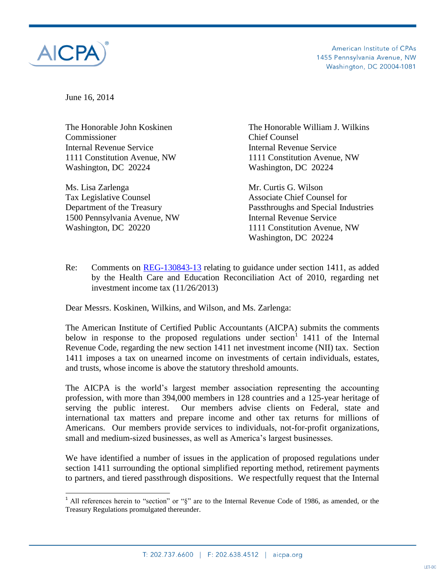

 $\overline{\phantom{a}}$ 

American Institute of CPAs 1455 Pennsylvania Avenue, NW Washington, DC 20004-1081

June 16, 2014

Commissioner Chief Counsel Internal Revenue Service Internal Revenue Service Washington, DC 20224 Washington, DC 20224

Ms. Lisa Zarlenga Mr. Curtis G. Wilson Tax Legislative Counsel **Associate Chief Counsel for** Associate Chief Counsel for 1500 Pennsylvania Avenue, NW Internal Revenue Service Washington, DC 20220 1111 Constitution Avenue, NW

The Honorable John Koskinen The Honorable William J. Wilkins 1111 Constitution Avenue, NW 1111 Constitution Avenue, NW

Department of the Treasury Passthroughs and Special Industries Washington, DC 20224

Re: Comments on [REG-130843-13](https://s3.amazonaws.com/public-inspection.federalregister.gov/2013-28409.pdf) relating to guidance under section 1411, as added by the Health Care and Education Reconciliation Act of 2010, regarding net investment income tax (11/26/2013)

Dear Messrs. Koskinen, Wilkins, and Wilson, and Ms. Zarlenga:

The American Institute of Certified Public Accountants (AICPA) submits the comments below in response to the proposed regulations under section  $1$  1411 of the Internal Revenue Code, regarding the new section 1411 net investment income (NII) tax. Section 1411 imposes a tax on unearned income on investments of certain individuals, estates, and trusts, whose income is above the statutory threshold amounts.

The AICPA is the world's largest member association representing the accounting profession, with more than 394,000 members in 128 countries and a 125-year heritage of serving the public interest. Our members advise clients on Federal, state and international tax matters and prepare income and other tax returns for millions of Americans. Our members provide services to individuals, not-for-profit organizations, small and medium-sized businesses, as well as America's largest businesses.

We have identified a number of issues in the application of proposed regulations under section 1411 surrounding the optional simplified reporting method, retirement payments to partners, and tiered passthrough dispositions. We respectfully request that the Internal

<sup>&</sup>lt;sup>1</sup> All references herein to "section" or " $\S$ " are to the Internal Revenue Code of 1986, as amended, or the Treasury Regulations promulgated thereunder.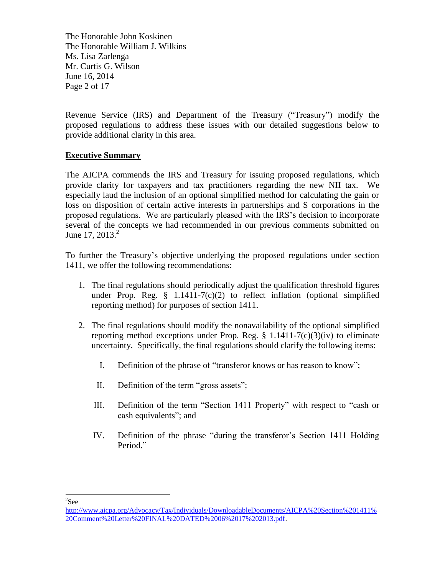The Honorable John Koskinen The Honorable William J. Wilkins Ms. Lisa Zarlenga Mr. Curtis G. Wilson June 16, 2014 Page 2 of 17

Revenue Service (IRS) and Department of the Treasury ("Treasury") modify the proposed regulations to address these issues with our detailed suggestions below to provide additional clarity in this area.

### **Executive Summary**

The AICPA commends the IRS and Treasury for issuing proposed regulations, which provide clarity for taxpayers and tax practitioners regarding the new NII tax. We especially laud the inclusion of an optional simplified method for calculating the gain or loss on disposition of certain active interests in partnerships and S corporations in the proposed regulations. We are particularly pleased with the IRS's decision to incorporate several of the concepts we had recommended in our previous comments submitted on June 17, 2013. $^{2}$ 

To further the Treasury's objective underlying the proposed regulations under section 1411, we offer the following recommendations:

- 1. The final regulations should periodically adjust the qualification threshold figures under Prop. Reg.  $\S$  1.1411-7(c)(2) to reflect inflation (optional simplified reporting method) for purposes of section 1411.
- 2. The final regulations should modify the nonavailability of the optional simplified reporting method exceptions under Prop. Reg.  $\S$  1.1411-7(c)(3)(iv) to eliminate uncertainty. Specifically, the final regulations should clarify the following items:
	- I. Definition of the phrase of "transferor knows or has reason to know";
	- II. Definition of the term "gross assets";
	- III. Definition of the term "Section 1411 Property" with respect to "cash or cash equivalents"; and
	- IV. Definition of the phrase "during the transferor's Section 1411 Holding Period."

<sup>2</sup>See

[http://www.aicpa.org/Advocacy/Tax/Individuals/DownloadableDocuments/AICPA%20Section%201411%](http://www.aicpa.org/Advocacy/Tax/Individuals/DownloadableDocuments/AICPA%20Section%201411%20Comment%20Letter%20FINAL%20DATED%2006%2017%202013.pdf) [20Comment%20Letter%20FINAL%20DATED%2006%2017%202013.pdf.](http://www.aicpa.org/Advocacy/Tax/Individuals/DownloadableDocuments/AICPA%20Section%201411%20Comment%20Letter%20FINAL%20DATED%2006%2017%202013.pdf)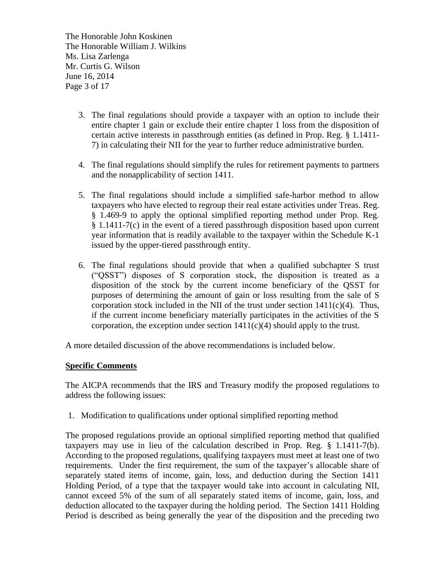The Honorable John Koskinen The Honorable William J. Wilkins Ms. Lisa Zarlenga Mr. Curtis G. Wilson June 16, 2014 Page 3 of 17

- 3. The final regulations should provide a taxpayer with an option to include their entire chapter 1 gain or exclude their entire chapter 1 loss from the disposition of certain active interests in passthrough entities (as defined in Prop. Reg. § 1.1411- 7) in calculating their NII for the year to further reduce administrative burden.
- 4. The final regulations should simplify the rules for retirement payments to partners and the nonapplicability of section 1411.
- 5. The final regulations should include a simplified safe-harbor method to allow taxpayers who have elected to regroup their real estate activities under Treas. Reg. § 1.469-9 to apply the optional simplified reporting method under Prop. Reg. § 1.1411-7(c) in the event of a tiered passthrough disposition based upon current year information that is readily available to the taxpayer within the Schedule K-1 issued by the upper-tiered passthrough entity.
- 6. The final regulations should provide that when a qualified subchapter S trust ("QSST") disposes of S corporation stock, the disposition is treated as a disposition of the stock by the current income beneficiary of the QSST for purposes of determining the amount of gain or loss resulting from the sale of S corporation stock included in the NII of the trust under section  $1411(c)(4)$ . Thus, if the current income beneficiary materially participates in the activities of the S corporation, the exception under section  $1411(c)(4)$  should apply to the trust.

A more detailed discussion of the above recommendations is included below.

#### **Specific Comments**

The AICPA recommends that the IRS and Treasury modify the proposed regulations to address the following issues:

1. Modification to qualifications under optional simplified reporting method

The proposed regulations provide an optional simplified reporting method that qualified taxpayers may use in lieu of the calculation described in Prop. Reg. § 1.1411-7(b). According to the proposed regulations, qualifying taxpayers must meet at least one of two requirements. Under the first requirement, the sum of the taxpayer's allocable share of separately stated items of income, gain, loss, and deduction during the Section 1411 Holding Period, of a type that the taxpayer would take into account in calculating NII, cannot exceed 5% of the sum of all separately stated items of income, gain, loss, and deduction allocated to the taxpayer during the holding period. The Section 1411 Holding Period is described as being generally the year of the disposition and the preceding two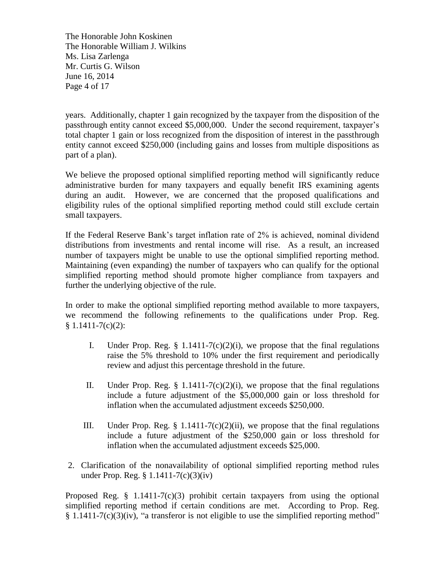The Honorable John Koskinen The Honorable William J. Wilkins Ms. Lisa Zarlenga Mr. Curtis G. Wilson June 16, 2014 Page 4 of 17

years. Additionally, chapter 1 gain recognized by the taxpayer from the disposition of the passthrough entity cannot exceed \$5,000,000. Under the second requirement, taxpayer's total chapter 1 gain or loss recognized from the disposition of interest in the passthrough entity cannot exceed \$250,000 (including gains and losses from multiple dispositions as part of a plan).

We believe the proposed optional simplified reporting method will significantly reduce administrative burden for many taxpayers and equally benefit IRS examining agents during an audit. However, we are concerned that the proposed qualifications and eligibility rules of the optional simplified reporting method could still exclude certain small taxpayers.

If the Federal Reserve Bank's target inflation rate of 2% is achieved, nominal dividend distributions from investments and rental income will rise. As a result, an increased number of taxpayers might be unable to use the optional simplified reporting method. Maintaining (even expanding) the number of taxpayers who can qualify for the optional simplified reporting method should promote higher compliance from taxpayers and further the underlying objective of the rule.

In order to make the optional simplified reporting method available to more taxpayers, we recommend the following refinements to the qualifications under Prop. Reg.  $§ 1.1411 - 7(c)(2):$ 

- I. Under Prop. Reg.  $\S$  1.1411-7(c)(2)(i), we propose that the final regulations raise the 5% threshold to 10% under the first requirement and periodically review and adjust this percentage threshold in the future.
- II. Under Prop. Reg.  $\S$  1.1411-7(c)(2)(i), we propose that the final regulations include a future adjustment of the \$5,000,000 gain or loss threshold for inflation when the accumulated adjustment exceeds \$250,000.
- III. Under Prop. Reg.  $\S$  1.1411-7(c)(2)(ii), we propose that the final regulations include a future adjustment of the \$250,000 gain or loss threshold for inflation when the accumulated adjustment exceeds \$25,000.
- 2. Clarification of the nonavailability of optional simplified reporting method rules under Prop. Reg. § 1.1411-7(c)(3)(iv)

Proposed Reg.  $\S$  1.1411-7(c)(3) prohibit certain taxpayers from using the optional simplified reporting method if certain conditions are met. According to Prop. Reg. § 1.1411-7(c)(3)(iv), "a transferor is not eligible to use the simplified reporting method"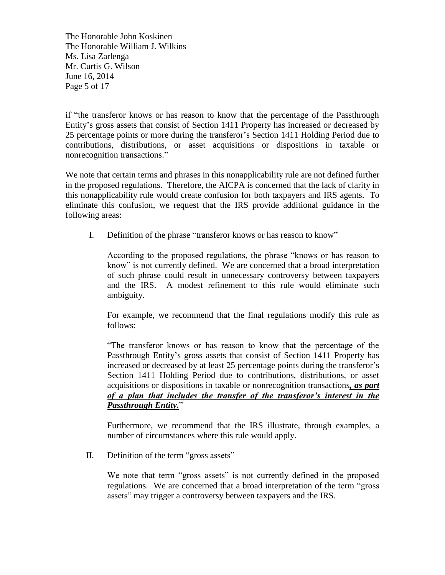The Honorable John Koskinen The Honorable William J. Wilkins Ms. Lisa Zarlenga Mr. Curtis G. Wilson June 16, 2014 Page 5 of 17

if "the transferor knows or has reason to know that the percentage of the Passthrough Entity's gross assets that consist of Section 1411 Property has increased or decreased by 25 percentage points or more during the transferor's Section 1411 Holding Period due to contributions, distributions, or asset acquisitions or dispositions in taxable or nonrecognition transactions."

We note that certain terms and phrases in this nonapplicability rule are not defined further in the proposed regulations. Therefore, the AICPA is concerned that the lack of clarity in this nonapplicability rule would create confusion for both taxpayers and IRS agents. To eliminate this confusion, we request that the IRS provide additional guidance in the following areas:

I. Definition of the phrase "transferor knows or has reason to know"

According to the proposed regulations, the phrase "knows or has reason to know" is not currently defined. We are concerned that a broad interpretation of such phrase could result in unnecessary controversy between taxpayers and the IRS. A modest refinement to this rule would eliminate such ambiguity.

For example, we recommend that the final regulations modify this rule as follows:

"The transferor knows or has reason to know that the percentage of the Passthrough Entity's gross assets that consist of Section 1411 Property has increased or decreased by at least 25 percentage points during the transferor's Section 1411 Holding Period due to contributions, distributions, or asset acquisitions or dispositions in taxable or nonrecognition transactions*, as part of a plan that includes the transfer of the transferor's interest in the Passthrough Entity.*"

Furthermore, we recommend that the IRS illustrate, through examples, a number of circumstances where this rule would apply.

II. Definition of the term "gross assets"

We note that term "gross assets" is not currently defined in the proposed regulations. We are concerned that a broad interpretation of the term "gross assets" may trigger a controversy between taxpayers and the IRS.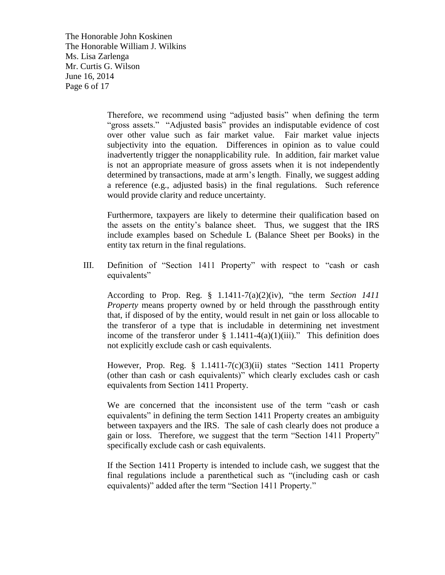The Honorable John Koskinen The Honorable William J. Wilkins Ms. Lisa Zarlenga Mr. Curtis G. Wilson June 16, 2014 Page 6 of 17

> Therefore, we recommend using "adjusted basis" when defining the term "gross assets." "Adjusted basis" provides an indisputable evidence of cost over other value such as fair market value. Fair market value injects subjectivity into the equation. Differences in opinion as to value could inadvertently trigger the nonapplicability rule. In addition, fair market value is not an appropriate measure of gross assets when it is not independently determined by transactions, made at arm's length. Finally, we suggest adding a reference (e.g., adjusted basis) in the final regulations. Such reference would provide clarity and reduce uncertainty.

> Furthermore, taxpayers are likely to determine their qualification based on the assets on the entity's balance sheet. Thus, we suggest that the IRS include examples based on Schedule L (Balance Sheet per Books) in the entity tax return in the final regulations.

III. Definition of "Section 1411 Property" with respect to "cash or cash equivalents"

According to Prop. Reg. § 1.1411-7(a)(2)(iv), "the term *Section 1411 Property* means property owned by or held through the passthrough entity that, if disposed of by the entity, would result in net gain or loss allocable to the transferor of a type that is includable in determining net investment income of the transferor under  $\S$  1.1411-4(a)(1)(iii)." This definition does not explicitly exclude cash or cash equivalents.

However, Prop. Reg. § 1.1411-7(c)(3)(ii) states "Section 1411 Property (other than cash or cash equivalents)" which clearly excludes cash or cash equivalents from Section 1411 Property.

We are concerned that the inconsistent use of the term "cash or cash equivalents" in defining the term Section 1411 Property creates an ambiguity between taxpayers and the IRS. The sale of cash clearly does not produce a gain or loss. Therefore, we suggest that the term "Section 1411 Property" specifically exclude cash or cash equivalents.

If the Section 1411 Property is intended to include cash, we suggest that the final regulations include a parenthetical such as "(including cash or cash equivalents)" added after the term "Section 1411 Property."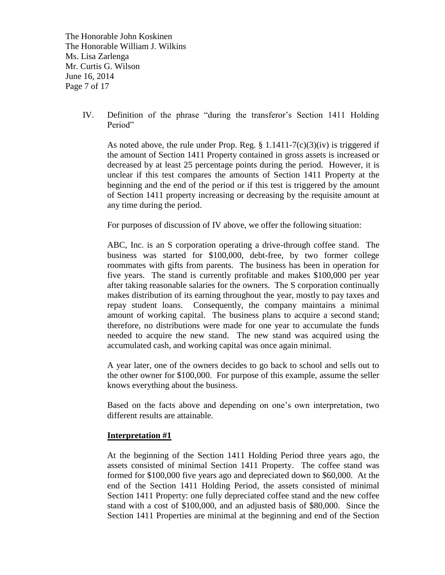The Honorable John Koskinen The Honorable William J. Wilkins Ms. Lisa Zarlenga Mr. Curtis G. Wilson June 16, 2014 Page 7 of 17

> IV. Definition of the phrase "during the transferor's Section 1411 Holding Period"

As noted above, the rule under Prop. Reg.  $\S 1.1411-7(c)(3)(iv)$  is triggered if the amount of Section 1411 Property contained in gross assets is increased or decreased by at least 25 percentage points during the period. However, it is unclear if this test compares the amounts of Section 1411 Property at the beginning and the end of the period or if this test is triggered by the amount of Section 1411 property increasing or decreasing by the requisite amount at any time during the period.

For purposes of discussion of IV above, we offer the following situation:

ABC, Inc. is an S corporation operating a drive-through coffee stand. The business was started for \$100,000, debt-free, by two former college roommates with gifts from parents. The business has been in operation for five years. The stand is currently profitable and makes \$100,000 per year after taking reasonable salaries for the owners. The S corporation continually makes distribution of its earning throughout the year, mostly to pay taxes and repay student loans. Consequently, the company maintains a minimal amount of working capital. The business plans to acquire a second stand; therefore, no distributions were made for one year to accumulate the funds needed to acquire the new stand. The new stand was acquired using the accumulated cash, and working capital was once again minimal.

A year later, one of the owners decides to go back to school and sells out to the other owner for \$100,000. For purpose of this example, assume the seller knows everything about the business.

Based on the facts above and depending on one's own interpretation, two different results are attainable.

#### **Interpretation #1**

At the beginning of the Section 1411 Holding Period three years ago, the assets consisted of minimal Section 1411 Property. The coffee stand was formed for \$100,000 five years ago and depreciated down to \$60,000. At the end of the Section 1411 Holding Period, the assets consisted of minimal Section 1411 Property: one fully depreciated coffee stand and the new coffee stand with a cost of \$100,000, and an adjusted basis of \$80,000. Since the Section 1411 Properties are minimal at the beginning and end of the Section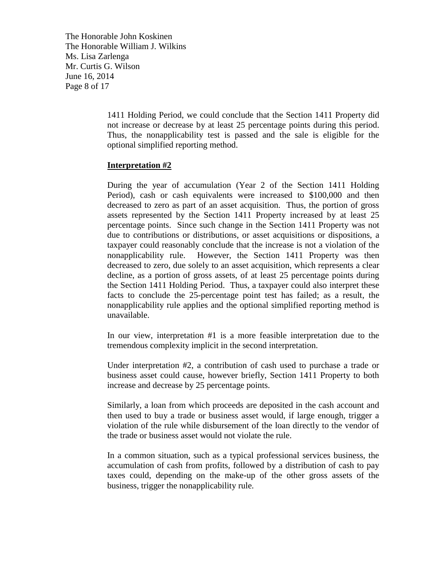The Honorable John Koskinen The Honorable William J. Wilkins Ms. Lisa Zarlenga Mr. Curtis G. Wilson June 16, 2014 Page 8 of 17

> 1411 Holding Period, we could conclude that the Section 1411 Property did not increase or decrease by at least 25 percentage points during this period. Thus, the nonapplicability test is passed and the sale is eligible for the optional simplified reporting method.

### **Interpretation #2**

During the year of accumulation (Year 2 of the Section 1411 Holding Period), cash or cash equivalents were increased to \$100,000 and then decreased to zero as part of an asset acquisition. Thus, the portion of gross assets represented by the Section 1411 Property increased by at least 25 percentage points. Since such change in the Section 1411 Property was not due to contributions or distributions, or asset acquisitions or dispositions, a taxpayer could reasonably conclude that the increase is not a violation of the nonapplicability rule. However, the Section 1411 Property was then decreased to zero, due solely to an asset acquisition, which represents a clear decline, as a portion of gross assets, of at least 25 percentage points during the Section 1411 Holding Period. Thus, a taxpayer could also interpret these facts to conclude the 25-percentage point test has failed; as a result, the nonapplicability rule applies and the optional simplified reporting method is unavailable.

In our view, interpretation #1 is a more feasible interpretation due to the tremendous complexity implicit in the second interpretation.

Under interpretation #2, a contribution of cash used to purchase a trade or business asset could cause, however briefly, Section 1411 Property to both increase and decrease by 25 percentage points.

Similarly, a loan from which proceeds are deposited in the cash account and then used to buy a trade or business asset would, if large enough, trigger a violation of the rule while disbursement of the loan directly to the vendor of the trade or business asset would not violate the rule.

In a common situation, such as a typical professional services business, the accumulation of cash from profits, followed by a distribution of cash to pay taxes could, depending on the make-up of the other gross assets of the business, trigger the nonapplicability rule.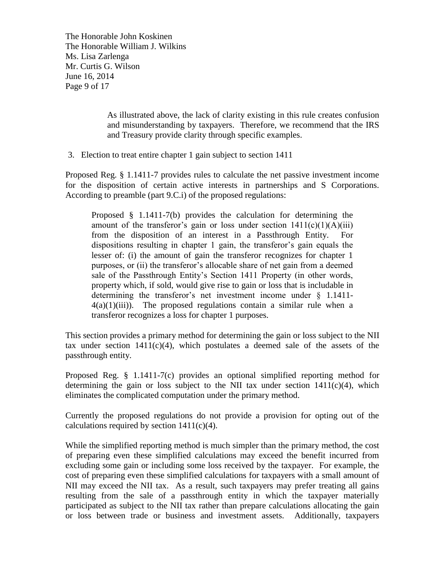The Honorable John Koskinen The Honorable William J. Wilkins Ms. Lisa Zarlenga Mr. Curtis G. Wilson June 16, 2014 Page 9 of 17

> As illustrated above, the lack of clarity existing in this rule creates confusion and misunderstanding by taxpayers. Therefore, we recommend that the IRS and Treasury provide clarity through specific examples.

3. Election to treat entire chapter 1 gain subject to section 1411

Proposed Reg. § 1.1411-7 provides rules to calculate the net passive investment income for the disposition of certain active interests in partnerships and S Corporations. According to preamble (part 9.C.i) of the proposed regulations:

Proposed § 1.1411-7(b) provides the calculation for determining the amount of the transferor's gain or loss under section  $1411(c)(1)(A)(iii)$ from the disposition of an interest in a Passthrough Entity. For dispositions resulting in chapter 1 gain, the transferor's gain equals the lesser of: (i) the amount of gain the transferor recognizes for chapter 1 purposes, or (ii) the transferor's allocable share of net gain from a deemed sale of the Passthrough Entity's Section 1411 Property (in other words, property which, if sold, would give rise to gain or loss that is includable in determining the transferor's net investment income under § 1.1411-  $4(a)(1)(iii)$ . The proposed regulations contain a similar rule when a transferor recognizes a loss for chapter 1 purposes.

This section provides a primary method for determining the gain or loss subject to the NII tax under section  $1411(c)(4)$ , which postulates a deemed sale of the assets of the passthrough entity.

Proposed Reg. § 1.1411-7(c) provides an optional simplified reporting method for determining the gain or loss subject to the NII tax under section  $1411(c)(4)$ , which eliminates the complicated computation under the primary method.

Currently the proposed regulations do not provide a provision for opting out of the calculations required by section  $1411(c)(4)$ .

While the simplified reporting method is much simpler than the primary method, the cost of preparing even these simplified calculations may exceed the benefit incurred from excluding some gain or including some loss received by the taxpayer. For example, the cost of preparing even these simplified calculations for taxpayers with a small amount of NII may exceed the NII tax. As a result, such taxpayers may prefer treating all gains resulting from the sale of a passthrough entity in which the taxpayer materially participated as subject to the NII tax rather than prepare calculations allocating the gain or loss between trade or business and investment assets. Additionally, taxpayers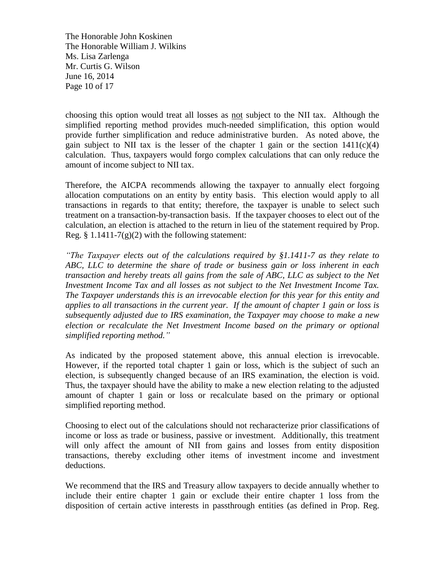The Honorable John Koskinen The Honorable William J. Wilkins Ms. Lisa Zarlenga Mr. Curtis G. Wilson June 16, 2014 Page 10 of 17

choosing this option would treat all losses as not subject to the NII tax. Although the simplified reporting method provides much-needed simplification, this option would provide further simplification and reduce administrative burden. As noted above, the gain subject to NII tax is the lesser of the chapter 1 gain or the section  $1411(c)(4)$ calculation. Thus, taxpayers would forgo complex calculations that can only reduce the amount of income subject to NII tax.

Therefore, the AICPA recommends allowing the taxpayer to annually elect forgoing allocation computations on an entity by entity basis. This election would apply to all transactions in regards to that entity; therefore, the taxpayer is unable to select such treatment on a transaction-by-transaction basis. If the taxpayer chooses to elect out of the calculation, an election is attached to the return in lieu of the statement required by Prop. Reg.  $\S 1.1411-7(g)(2)$  with the following statement:

*"The Taxpayer elects out of the calculations required by §1.1411-7 as they relate to ABC, LLC to determine the share of trade or business gain or loss inherent in each transaction and hereby treats all gains from the sale of ABC, LLC as subject to the Net Investment Income Tax and all losses as not subject to the Net Investment Income Tax. The Taxpayer understands this is an irrevocable election for this year for this entity and applies to all transactions in the current year. If the amount of chapter 1 gain or loss is subsequently adjusted due to IRS examination, the Taxpayer may choose to make a new election or recalculate the Net Investment Income based on the primary or optional simplified reporting method."*

As indicated by the proposed statement above, this annual election is irrevocable. However, if the reported total chapter 1 gain or loss, which is the subject of such an election, is subsequently changed because of an IRS examination, the election is void. Thus, the taxpayer should have the ability to make a new election relating to the adjusted amount of chapter 1 gain or loss or recalculate based on the primary or optional simplified reporting method.

Choosing to elect out of the calculations should not recharacterize prior classifications of income or loss as trade or business, passive or investment. Additionally, this treatment will only affect the amount of NII from gains and losses from entity disposition transactions, thereby excluding other items of investment income and investment deductions.

We recommend that the IRS and Treasury allow taxpayers to decide annually whether to include their entire chapter 1 gain or exclude their entire chapter 1 loss from the disposition of certain active interests in passthrough entities (as defined in Prop. Reg.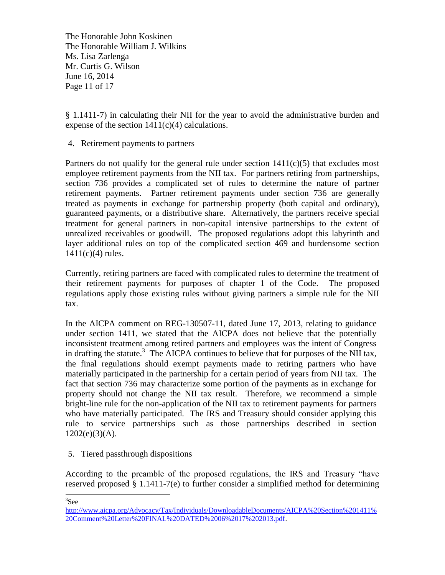The Honorable John Koskinen The Honorable William J. Wilkins Ms. Lisa Zarlenga Mr. Curtis G. Wilson June 16, 2014 Page 11 of 17

§ 1.1411-7) in calculating their NII for the year to avoid the administrative burden and expense of the section  $1411(c)(4)$  calculations.

4. Retirement payments to partners

Partners do not qualify for the general rule under section  $1411(c)(5)$  that excludes most employee retirement payments from the NII tax. For partners retiring from partnerships, section 736 provides a complicated set of rules to determine the nature of partner retirement payments. Partner retirement payments under section 736 are generally treated as payments in exchange for partnership property (both capital and ordinary), guaranteed payments, or a distributive share. Alternatively, the partners receive special treatment for general partners in non-capital intensive partnerships to the extent of unrealized receivables or goodwill. The proposed regulations adopt this labyrinth and layer additional rules on top of the complicated section 469 and burdensome section  $1411(c)(4)$  rules.

Currently, retiring partners are faced with complicated rules to determine the treatment of their retirement payments for purposes of chapter 1 of the Code. The proposed regulations apply those existing rules without giving partners a simple rule for the NII tax.

In the AICPA comment on REG-130507-11, dated June 17, 2013, relating to guidance under section 1411, we stated that the AICPA does not believe that the potentially inconsistent treatment among retired partners and employees was the intent of Congress in drafting the statute.<sup>3</sup> The AICPA continues to believe that for purposes of the NII tax, the final regulations should exempt payments made to retiring partners who have materially participated in the partnership for a certain period of years from NII tax. The fact that section 736 may characterize some portion of the payments as in exchange for property should not change the NII tax result. Therefore, we recommend a simple bright-line rule for the non-application of the NII tax to retirement payments for partners who have materially participated. The IRS and Treasury should consider applying this rule to service partnerships such as those partnerships described in section  $1202(e)(3)(A)$ .

5. Tiered passthrough dispositions

According to the preamble of the proposed regulations, the IRS and Treasury "have reserved proposed § 1.1411-7(e) to further consider a simplified method for determining

<sup>3</sup>See

[http://www.aicpa.org/Advocacy/Tax/Individuals/DownloadableDocuments/AICPA%20Section%201411%](http://www.aicpa.org/Advocacy/Tax/Individuals/DownloadableDocuments/AICPA%20Section%201411%20Comment%20Letter%20FINAL%20DATED%2006%2017%202013.pdf) [20Comment%20Letter%20FINAL%20DATED%2006%2017%202013.pdf.](http://www.aicpa.org/Advocacy/Tax/Individuals/DownloadableDocuments/AICPA%20Section%201411%20Comment%20Letter%20FINAL%20DATED%2006%2017%202013.pdf)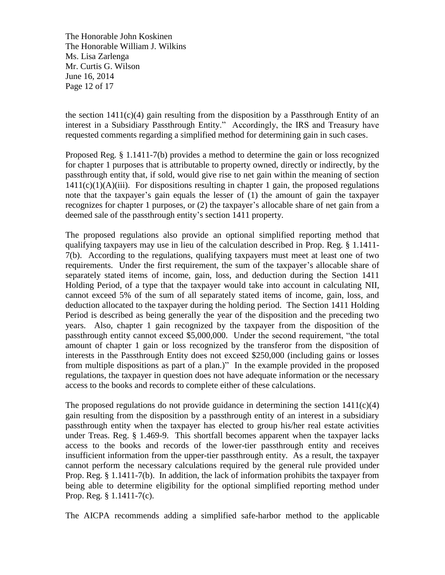The Honorable John Koskinen The Honorable William J. Wilkins Ms. Lisa Zarlenga Mr. Curtis G. Wilson June 16, 2014 Page 12 of 17

the section  $1411(c)(4)$  gain resulting from the disposition by a Passthrough Entity of an interest in a Subsidiary Passthrough Entity." Accordingly, the IRS and Treasury have requested comments regarding a simplified method for determining gain in such cases.

Proposed Reg. § 1.1411-7(b) provides a method to determine the gain or loss recognized for chapter 1 purposes that is attributable to property owned, directly or indirectly, by the passthrough entity that, if sold, would give rise to net gain within the meaning of section  $1411(c)(1)(A)(iii)$ . For dispositions resulting in chapter 1 gain, the proposed regulations note that the taxpayer's gain equals the lesser of (1) the amount of gain the taxpayer recognizes for chapter 1 purposes, or (2) the taxpayer's allocable share of net gain from a deemed sale of the passthrough entity's section 1411 property.

The proposed regulations also provide an optional simplified reporting method that qualifying taxpayers may use in lieu of the calculation described in Prop. Reg. § 1.1411- 7(b). According to the regulations, qualifying taxpayers must meet at least one of two requirements. Under the first requirement, the sum of the taxpayer's allocable share of separately stated items of income, gain, loss, and deduction during the Section 1411 Holding Period, of a type that the taxpayer would take into account in calculating NII, cannot exceed 5% of the sum of all separately stated items of income, gain, loss, and deduction allocated to the taxpayer during the holding period. The Section 1411 Holding Period is described as being generally the year of the disposition and the preceding two years. Also, chapter 1 gain recognized by the taxpayer from the disposition of the passthrough entity cannot exceed \$5,000,000. Under the second requirement, "the total amount of chapter 1 gain or loss recognized by the transferor from the disposition of interests in the Passthrough Entity does not exceed \$250,000 (including gains or losses from multiple dispositions as part of a plan.)" In the example provided in the proposed regulations, the taxpayer in question does not have adequate information or the necessary access to the books and records to complete either of these calculations.

The proposed regulations do not provide guidance in determining the section  $1411(c)(4)$ gain resulting from the disposition by a passthrough entity of an interest in a subsidiary passthrough entity when the taxpayer has elected to group his/her real estate activities under Treas. Reg. § 1.469-9. This shortfall becomes apparent when the taxpayer lacks access to the books and records of the lower-tier passthrough entity and receives insufficient information from the upper-tier passthrough entity. As a result, the taxpayer cannot perform the necessary calculations required by the general rule provided under Prop. Reg. § 1.1411-7(b). In addition, the lack of information prohibits the taxpayer from being able to determine eligibility for the optional simplified reporting method under Prop. Reg. § 1.1411-7(c).

The AICPA recommends adding a simplified safe-harbor method to the applicable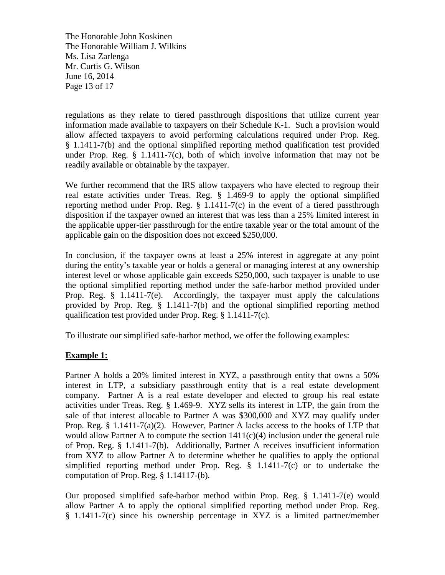The Honorable John Koskinen The Honorable William J. Wilkins Ms. Lisa Zarlenga Mr. Curtis G. Wilson June 16, 2014 Page 13 of 17

regulations as they relate to tiered passthrough dispositions that utilize current year information made available to taxpayers on their Schedule K-1. Such a provision would allow affected taxpayers to avoid performing calculations required under Prop. Reg. § 1.1411-7(b) and the optional simplified reporting method qualification test provided under Prop. Reg.  $\S$  1.1411-7(c), both of which involve information that may not be readily available or obtainable by the taxpayer.

We further recommend that the IRS allow taxpayers who have elected to regroup their real estate activities under Treas. Reg. § 1.469-9 to apply the optional simplified reporting method under Prop. Reg. § 1.1411-7(c) in the event of a tiered passthrough disposition if the taxpayer owned an interest that was less than a 25% limited interest in the applicable upper-tier passthrough for the entire taxable year or the total amount of the applicable gain on the disposition does not exceed \$250,000.

In conclusion, if the taxpayer owns at least a 25% interest in aggregate at any point during the entity's taxable year or holds a general or managing interest at any ownership interest level or whose applicable gain exceeds \$250,000, such taxpayer is unable to use the optional simplified reporting method under the safe-harbor method provided under Prop. Reg. § 1.1411-7(e). Accordingly, the taxpayer must apply the calculations provided by Prop. Reg. § 1.1411-7(b) and the optional simplified reporting method qualification test provided under Prop. Reg. § 1.1411-7(c).

To illustrate our simplified safe-harbor method, we offer the following examples:

## **Example 1:**

Partner A holds a 20% limited interest in XYZ, a passthrough entity that owns a 50% interest in LTP, a subsidiary passthrough entity that is a real estate development company. Partner A is a real estate developer and elected to group his real estate activities under Treas. Reg. § 1.469-9. XYZ sells its interest in LTP, the gain from the sale of that interest allocable to Partner A was \$300,000 and XYZ may qualify under Prop. Reg. § 1.1411-7(a)(2). However, Partner A lacks access to the books of LTP that would allow Partner A to compute the section 1411(c)(4) inclusion under the general rule of Prop. Reg. § 1.1411-7(b). Additionally, Partner A receives insufficient information from XYZ to allow Partner A to determine whether he qualifies to apply the optional simplified reporting method under Prop. Reg.  $\S$  1.1411-7(c) or to undertake the computation of Prop. Reg. § 1.14117-(b).

Our proposed simplified safe-harbor method within Prop. Reg. § 1.1411-7(e) would allow Partner A to apply the optional simplified reporting method under Prop. Reg. § 1.1411-7(c) since his ownership percentage in XYZ is a limited partner/member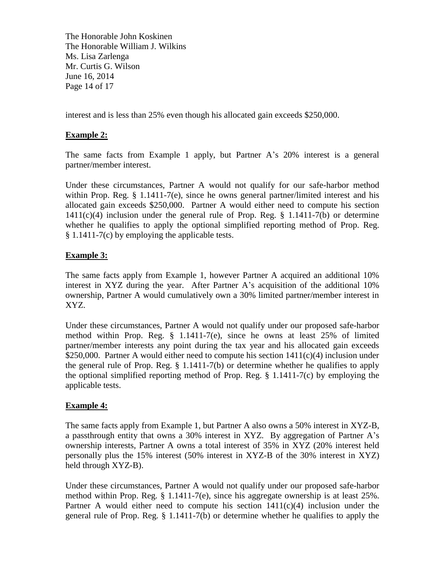The Honorable John Koskinen The Honorable William J. Wilkins Ms. Lisa Zarlenga Mr. Curtis G. Wilson June 16, 2014 Page 14 of 17

interest and is less than 25% even though his allocated gain exceeds \$250,000.

### **Example 2:**

The same facts from Example 1 apply, but Partner A's 20% interest is a general partner/member interest.

Under these circumstances, Partner A would not qualify for our safe-harbor method within Prop. Reg. § 1.1411-7(e), since he owns general partner/limited interest and his allocated gain exceeds \$250,000. Partner A would either need to compute his section 1411(c)(4) inclusion under the general rule of Prop. Reg. § 1.1411-7(b) or determine whether he qualifies to apply the optional simplified reporting method of Prop. Reg. § 1.1411-7(c) by employing the applicable tests.

## **Example 3:**

The same facts apply from Example 1, however Partner A acquired an additional 10% interest in XYZ during the year. After Partner A's acquisition of the additional 10% ownership, Partner A would cumulatively own a 30% limited partner/member interest in XYZ.

Under these circumstances, Partner A would not qualify under our proposed safe-harbor method within Prop. Reg. § 1.1411-7(e), since he owns at least 25% of limited partner/member interests any point during the tax year and his allocated gain exceeds \$250,000. Partner A would either need to compute his section  $1411(c)(4)$  inclusion under the general rule of Prop. Reg. § 1.1411-7(b) or determine whether he qualifies to apply the optional simplified reporting method of Prop. Reg. § 1.1411-7(c) by employing the applicable tests.

#### **Example 4:**

The same facts apply from Example 1, but Partner A also owns a 50% interest in XYZ-B, a passthrough entity that owns a 30% interest in XYZ. By aggregation of Partner A's ownership interests, Partner A owns a total interest of 35% in XYZ (20% interest held personally plus the 15% interest (50% interest in XYZ-B of the 30% interest in XYZ) held through XYZ-B).

Under these circumstances, Partner A would not qualify under our proposed safe-harbor method within Prop. Reg. § 1.1411-7(e), since his aggregate ownership is at least 25%. Partner A would either need to compute his section  $1411(c)(4)$  inclusion under the general rule of Prop. Reg. § 1.1411-7(b) or determine whether he qualifies to apply the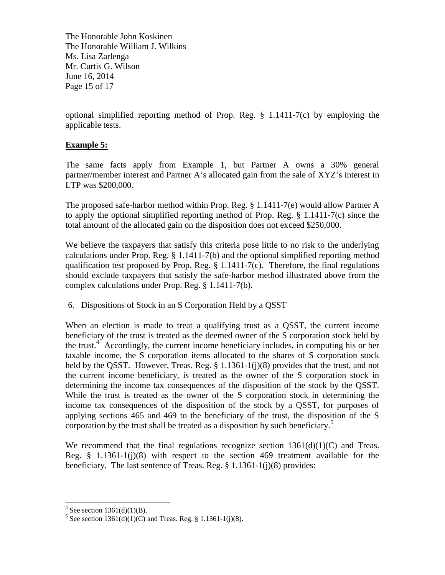The Honorable John Koskinen The Honorable William J. Wilkins Ms. Lisa Zarlenga Mr. Curtis G. Wilson June 16, 2014 Page 15 of 17

optional simplified reporting method of Prop. Reg. § 1.1411-7(c) by employing the applicable tests.

# **Example 5:**

The same facts apply from Example 1, but Partner A owns a 30% general partner/member interest and Partner A's allocated gain from the sale of XYZ's interest in LTP was \$200,000.

The proposed safe-harbor method within Prop. Reg. § 1.1411-7(e) would allow Partner A to apply the optional simplified reporting method of Prop. Reg. § 1.1411-7(c) since the total amount of the allocated gain on the disposition does not exceed \$250,000.

We believe the taxpayers that satisfy this criteria pose little to no risk to the underlying calculations under Prop. Reg. § 1.1411-7(b) and the optional simplified reporting method qualification test proposed by Prop. Reg. § 1.1411-7(c). Therefore, the final regulations should exclude taxpayers that satisfy the safe-harbor method illustrated above from the complex calculations under Prop. Reg. § 1.1411-7(b).

6. Dispositions of Stock in an S Corporation Held by a QSST

When an election is made to treat a qualifying trust as a QSST, the current income beneficiary of the trust is treated as the deemed owner of the S corporation stock held by the trust.<sup>4</sup> Accordingly, the current income beneficiary includes, in computing his or her taxable income, the S corporation items allocated to the shares of S corporation stock held by the OSST. However, Treas. Reg.  $\S 1.1361-1(i)(8)$  provides that the trust, and not the current income beneficiary, is treated as the owner of the S corporation stock in determining the income tax consequences of the disposition of the stock by the QSST. While the trust is treated as the owner of the S corporation stock in determining the income tax consequences of the disposition of the stock by a QSST, for purposes of applying sections 465 and 469 to the beneficiary of the trust, the disposition of the S corporation by the trust shall be treated as a disposition by such beneficiary. $5$ 

We recommend that the final regulations recognize section  $1361(d)(1)(C)$  and Treas. Reg. § 1.1361-1(j)(8) with respect to the section 469 treatment available for the beneficiary. The last sentence of Treas. Reg. § 1.1361-1(j)(8) provides:

<sup>&</sup>lt;sup>4</sup> See section 1361(d)(1)(B).

<sup>&</sup>lt;sup>5</sup> See section  $1361(d)(1)(C)$  and Treas. Reg. § 1.1361-1(j)(8).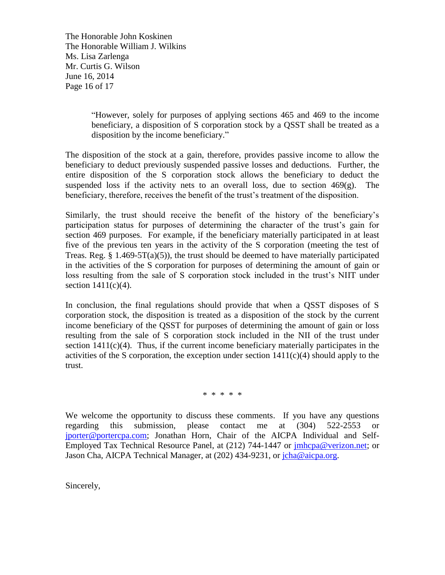The Honorable John Koskinen The Honorable William J. Wilkins Ms. Lisa Zarlenga Mr. Curtis G. Wilson June 16, 2014 Page 16 of 17

> "However, solely for purposes of applying sections 465 and 469 to the income beneficiary, a disposition of S corporation stock by a QSST shall be treated as a disposition by the income beneficiary."

The disposition of the stock at a gain, therefore, provides passive income to allow the beneficiary to deduct previously suspended passive losses and deductions. Further, the entire disposition of the S corporation stock allows the beneficiary to deduct the suspended loss if the activity nets to an overall loss, due to section  $469(g)$ . The beneficiary, therefore, receives the benefit of the trust's treatment of the disposition.

Similarly, the trust should receive the benefit of the history of the beneficiary's participation status for purposes of determining the character of the trust's gain for section 469 purposes. For example, if the beneficiary materially participated in at least five of the previous ten years in the activity of the S corporation (meeting the test of Treas. Reg.  $\S$  1.469-5T(a)(5)), the trust should be deemed to have materially participated in the activities of the S corporation for purposes of determining the amount of gain or loss resulting from the sale of S corporation stock included in the trust's NIIT under section  $1411(c)(4)$ .

In conclusion, the final regulations should provide that when a QSST disposes of S corporation stock, the disposition is treated as a disposition of the stock by the current income beneficiary of the QSST for purposes of determining the amount of gain or loss resulting from the sale of S corporation stock included in the NII of the trust under section  $1411(c)(4)$ . Thus, if the current income beneficiary materially participates in the activities of the S corporation, the exception under section  $1411(c)(4)$  should apply to the trust.

\* \* \* \* \*

We welcome the opportunity to discuss these comments. If you have any questions regarding this submission, please contact me at (304) 522-2553 or [jporter@portercpa.com;](mailto:jporter@portercpa.com) Jonathan Horn, Chair of the AICPA Individual and Self-Employed Tax Technical Resource Panel, at (212) 744-1447 or [jmhcpa@verizon.net;](mailto:jmhcpa@verizon.net) or Jason Cha, AICPA Technical Manager, at (202) 434-9231, or [jcha@aicpa.org.](mailto:jcha@aicpa.org)

Sincerely,